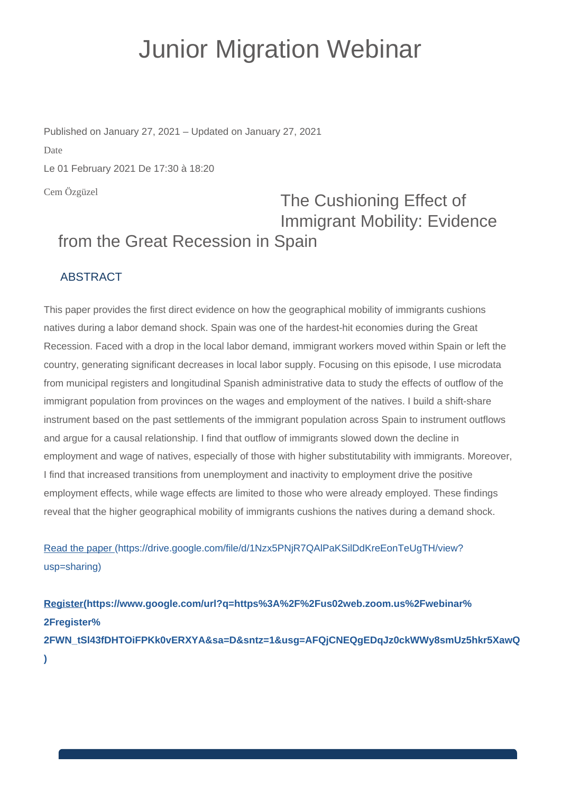## Junior Migration Webinar

Cem Özgüzel Published on January 27, 2021 – Updated on January 27, 2021 Date Le 01 February 2021 De 17:30 à 18:20

## The Cushioning Effect of Immigrant Mobility: Evidence from the Great Recession in Spain

## ABSTRACT

This paper provides the first direct evidence on how the geographical mobility of immigrants cushions natives during a labor demand shock. Spain was one of the hardest-hit economies during the Great Recession. Faced with a drop in the local labor demand, immigrant workers moved within Spain or left the country, generating significant decreases in local labor supply. Focusing on this episode, I use microdata from municipal registers and longitudinal Spanish administrative data to study the effects of outflow of the immigrant population from provinces on the wages and employment of the natives. I build a shift-share instrument based on the past settlements of the immigrant population across Spain to instrument outflows and argue for a causal relationship. I find that outflow of immigrants slowed down the decline in employment and wage of natives, especially of those with higher substitutability with immigrants. Moreover, I find that increased transitions from unemployment and inactivity to employment drive the positive employment effects, while wage effects are limited to those who were already employed. These findings reveal that the higher geographical mobility of immigrants cushions the natives during a demand shock.

[Read the paper \(https://drive.google.com/file/d/1Nzx5PNjR7QAlPaKSilDdKreEonTeUgTH/view?](https://drive.google.com/file/d/1Nzx5PNjR7QAlPaKSilDdKreEonTeUgTH/view?usp=sharing) [usp=sharing\)](https://drive.google.com/file/d/1Nzx5PNjR7QAlPaKSilDdKreEonTeUgTH/view?usp=sharing)

**[Register\(https://www.google.com/url?q=https%3A%2F%2Fus02web.zoom.us%2Fwebinar%](https://www.google.com/url?q=https%3A%2F%2Fus02web.zoom.us%2Fwebinar%2Fregister%2FWN_tSl43fDHTOiFPKk0vERXYA&sa=D&sntz=1&usg=AFQjCNEQgEDqJz0ckWWy8smUz5hkr5XawQ) [2Fregister%](https://www.google.com/url?q=https%3A%2F%2Fus02web.zoom.us%2Fwebinar%2Fregister%2FWN_tSl43fDHTOiFPKk0vERXYA&sa=D&sntz=1&usg=AFQjCNEQgEDqJz0ckWWy8smUz5hkr5XawQ) [2FWN\\_tSl43fDHTOiFPKk0vERXYA&sa=D&sntz=1&usg=AFQjCNEQgEDqJz0ckWWy8smUz5hkr5XawQ](https://www.google.com/url?q=https%3A%2F%2Fus02web.zoom.us%2Fwebinar%2Fregister%2FWN_tSl43fDHTOiFPKk0vERXYA&sa=D&sntz=1&usg=AFQjCNEQgEDqJz0ckWWy8smUz5hkr5XawQ) [\)](https://www.google.com/url?q=https%3A%2F%2Fus02web.zoom.us%2Fwebinar%2Fregister%2FWN_tSl43fDHTOiFPKk0vERXYA&sa=D&sntz=1&usg=AFQjCNEQgEDqJz0ckWWy8smUz5hkr5XawQ)**